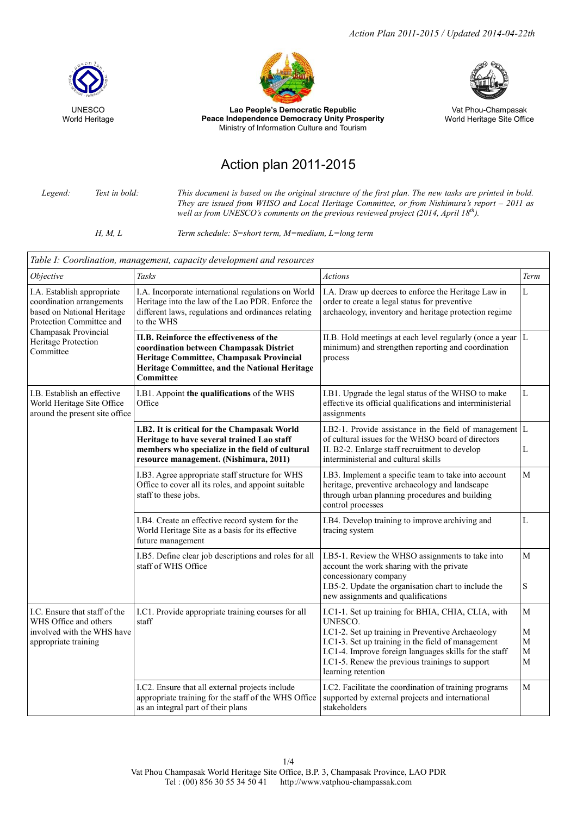*Action Plan 2011-2015 / Updated 2014-04-22th*





Lao People's Democratic Republic Peace Independence Democracy Unity Prosperity Ministry of Information Culture and Tourism



Vat Phou-Champasak World Heritage Site Office

## Action plan 2011-2015

*Legend: Text in bold: This document is based on the original structure of the first plan. The new tasks are printed in bold. They are issued from WHSO and Local Heritage Committee, or from Nishimura's report – 2011 as well as from UNESCO's comments on the previous reviewed project (2014, April 18th).*

*H, M, L Term schedule: S=short term, M=medium, L=long term*

| Table I: Coordination, management, capacity development and resources                                                                                                         |                                                                                                                                                                                                      |                                                                                                                                                                                                                                                                                                             |                                                     |  |
|-------------------------------------------------------------------------------------------------------------------------------------------------------------------------------|------------------------------------------------------------------------------------------------------------------------------------------------------------------------------------------------------|-------------------------------------------------------------------------------------------------------------------------------------------------------------------------------------------------------------------------------------------------------------------------------------------------------------|-----------------------------------------------------|--|
| Objective                                                                                                                                                                     | Tasks                                                                                                                                                                                                | <b>Actions</b>                                                                                                                                                                                                                                                                                              | Term                                                |  |
| I.A. Establish appropriate<br>coordination arrangements<br>based on National Heritage<br>Protection Committee and<br>Champasak Provincial<br>Heritage Protection<br>Committee | I.A. Incorporate international regulations on World<br>Heritage into the law of the Lao PDR. Enforce the<br>different laws, regulations and ordinances relating<br>to the WHS                        | I.A. Draw up decrees to enforce the Heritage Law in<br>order to create a legal status for preventive<br>archaeology, inventory and heritage protection regime                                                                                                                                               | L                                                   |  |
|                                                                                                                                                                               | II.B. Reinforce the effectiveness of the<br>coordination between Champasak District<br>Heritage Committee, Champasak Provincial<br>Heritage Committee, and the National Heritage<br><b>Committee</b> | II.B. Hold meetings at each level regularly (once a year $ L $<br>minimum) and strengthen reporting and coordination<br>process                                                                                                                                                                             |                                                     |  |
| I.B. Establish an effective<br>World Heritage Site Office<br>around the present site office                                                                                   | I.B1. Appoint the qualifications of the WHS<br>Office                                                                                                                                                | I.B1. Upgrade the legal status of the WHSO to make<br>effective its official qualifications and interministerial<br>assignments                                                                                                                                                                             |                                                     |  |
|                                                                                                                                                                               | I.B2. It is critical for the Champasak World<br>Heritage to have several trained Lao staff<br>members who specialize in the field of cultural<br>resource management. (Nishimura, 2011)              | I.B2-1. Provide assistance in the field of management $ L $<br>of cultural issues for the WHSO board of directors<br>II. B2-2. Enlarge staff recruitment to develop<br>interministerial and cultural skills                                                                                                 | L                                                   |  |
|                                                                                                                                                                               | I.B3. Agree appropriate staff structure for WHS<br>Office to cover all its roles, and appoint suitable<br>staff to these jobs.                                                                       | I.B3. Implement a specific team to take into account<br>heritage, preventive archaeology and landscape<br>through urban planning procedures and building<br>control processes                                                                                                                               | M                                                   |  |
|                                                                                                                                                                               | I.B4. Create an effective record system for the<br>World Heritage Site as a basis for its effective<br>future management                                                                             | I.B4. Develop training to improve archiving and<br>tracing system                                                                                                                                                                                                                                           | L                                                   |  |
|                                                                                                                                                                               | I.B5. Define clear job descriptions and roles for all<br>staff of WHS Office                                                                                                                         | I.B5-1. Review the WHSO assignments to take into<br>account the work sharing with the private<br>concessionary company<br>I.B5-2. Update the organisation chart to include the<br>new assignments and qualifications                                                                                        | M<br>S                                              |  |
| I.C. Ensure that staff of the<br>WHS Office and others<br>involved with the WHS have<br>appropriate training                                                                  | I.C1. Provide appropriate training courses for all<br>staff                                                                                                                                          | I.C1-1. Set up training for BHIA, CHIA, CLIA, with<br>UNESCO.<br>I.C1-2. Set up training in Preventive Archaeology<br>I.C1-3. Set up training in the field of management<br>I.C1-4. Improve foreign languages skills for the staff<br>I.C1-5. Renew the previous trainings to support<br>learning retention | М<br>$\mathbf M$<br>$\mathbf M$<br>$\mathbf M$<br>M |  |
|                                                                                                                                                                               | I.C2. Ensure that all external projects include<br>appropriate training for the staff of the WHS Office<br>as an integral part of their plans                                                        | I.C2. Facilitate the coordination of training programs<br>supported by external projects and international<br>stakeholders                                                                                                                                                                                  | $\mathbf{M}$                                        |  |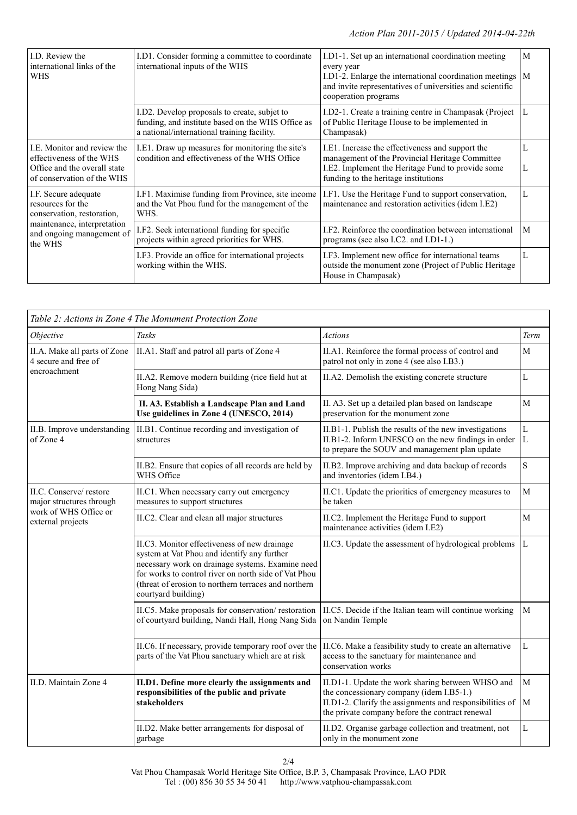| LD. Review the<br>international links of the<br>WHS                                                                                            | I.D1. Consider forming a committee to coordinate<br>international inputs of the WHS                                                              | I.D1-1. Set up an international coordination meeting<br>every year<br>I.D1-2. Enlarge the international coordination meetings $\vert M \vert$<br>and invite representatives of universities and scientific<br>cooperation programs |        |
|------------------------------------------------------------------------------------------------------------------------------------------------|--------------------------------------------------------------------------------------------------------------------------------------------------|------------------------------------------------------------------------------------------------------------------------------------------------------------------------------------------------------------------------------------|--------|
|                                                                                                                                                | I.D2. Develop proposals to create, subjet to<br>funding, and institute based on the WHS Office as<br>a national/international training facility. | I.D2-1. Create a training centre in Champasak (Project<br>of Public Heritage House to be implemented in<br>Champasak)                                                                                                              | L      |
| I.E. Monitor and review the<br>effectiveness of the WHS<br>Office and the overall state<br>of conservation of the WHS                          | I.E1. Draw up measures for monitoring the site's<br>condition and effectiveness of the WHS Office                                                | I.E1. Increase the effectiveness and support the<br>management of the Provincial Heritage Committee<br>I.E2. Implement the Heritage Fund to provide some<br>funding to the heritage institutions                                   | L<br>L |
| I.F. Secure adequate<br>resources for the<br>conservation, restoration,<br>maintenance, interpretation<br>and ongoing management of<br>the WHS | I.F1. Maximise funding from Province, site income<br>and the Vat Phou fund for the management of the<br>WHS.                                     | I.F1. Use the Heritage Fund to support conservation,<br>maintenance and restoration activities (idem I.E2)                                                                                                                         |        |
|                                                                                                                                                | I.F2. Seek international funding for specific<br>projects within agreed priorities for WHS.                                                      | I.F2. Reinforce the coordination between international<br>programs (see also I.C2. and I.D1-1.)                                                                                                                                    | M      |
|                                                                                                                                                | I.F3. Provide an office for international projects<br>working within the WHS.                                                                    | I.F3. Implement new office for international teams<br>outside the monument zone (Project of Public Heritage<br>House in Champasak)                                                                                                 | L      |

|                                                                                                  | Table 2: Actions in Zone 4 The Monument Protection Zone                                                                                                                                                                                                                                |                                                                                                                                                                                                              |                  |
|--------------------------------------------------------------------------------------------------|----------------------------------------------------------------------------------------------------------------------------------------------------------------------------------------------------------------------------------------------------------------------------------------|--------------------------------------------------------------------------------------------------------------------------------------------------------------------------------------------------------------|------------------|
| Objective                                                                                        | <b>Tasks</b>                                                                                                                                                                                                                                                                           | <b>Actions</b>                                                                                                                                                                                               | Term             |
| II.A. Make all parts of Zone<br>4 secure and free of<br>encroachment                             | II.A1. Staff and patrol all parts of Zone 4                                                                                                                                                                                                                                            | II.A1. Reinforce the formal process of control and<br>patrol not only in zone 4 (see also I.B3.)                                                                                                             | M                |
|                                                                                                  | II.A2. Remove modern building (rice field hut at<br>Hong Nang Sida)                                                                                                                                                                                                                    | II.A2. Demolish the existing concrete structure                                                                                                                                                              | L                |
|                                                                                                  | II. A3. Establish a Landscape Plan and Land<br>Use guidelines in Zone 4 (UNESCO, 2014)                                                                                                                                                                                                 | II. A3. Set up a detailed plan based on landscape<br>preservation for the monument zone                                                                                                                      | $\mathbf M$      |
| II.B. Improve understanding<br>of Zone 4                                                         | II.B1. Continue recording and investigation of<br>structures                                                                                                                                                                                                                           | II.B1-1. Publish the results of the new investigations<br>II.B1-2. Inform UNESCO on the new findings in order<br>to prepare the SOUV and management plan update                                              |                  |
|                                                                                                  | II.B2. Ensure that copies of all records are held by<br>WHS Office                                                                                                                                                                                                                     | II.B2. Improve archiving and data backup of records<br>and inventories (idem I.B4.)                                                                                                                          | S                |
| II.C. Conserve/restore<br>major structures through<br>work of WHS Office or<br>external projects | II.C1. When necessary carry out emergency<br>measures to support structures                                                                                                                                                                                                            | II.C1. Update the priorities of emergency measures to<br>be taken                                                                                                                                            |                  |
|                                                                                                  | II.C2. Clear and clean all major structures                                                                                                                                                                                                                                            | II.C2. Implement the Heritage Fund to support<br>maintenance activities (idem I.E2)                                                                                                                          | M                |
|                                                                                                  | II.C3. Monitor effectiveness of new drainage<br>system at Vat Phou and identify any further<br>necessary work on drainage systems. Examine need<br>for works to control river on north side of Vat Phou<br>(threat of erosion to northern terraces and northern<br>courtyard building) | II.C3. Update the assessment of hydrological problems                                                                                                                                                        | L                |
|                                                                                                  | II.C5. Make proposals for conservation/restoration<br>of courtyard building, Nandi Hall, Hong Nang Sida                                                                                                                                                                                | II.C5. Decide if the Italian team will continue working<br>on Nandin Temple                                                                                                                                  | M                |
|                                                                                                  | II.C6. If necessary, provide temporary roof over the<br>parts of the Vat Phou sanctuary which are at risk                                                                                                                                                                              | II.C6. Make a feasibility study to create an alternative<br>access to the sanctuary for maintenance and<br>conservation works                                                                                | L                |
| II.D. Maintain Zone 4                                                                            | II.D1. Define more clearly the assignments and<br>responsibilities of the public and private<br>stakeholders                                                                                                                                                                           | II.D1-1. Update the work sharing between WHSO and<br>the concessionary company (idem I.B5-1.)<br>II.D1-2. Clarify the assignments and responsibilities of<br>the private company before the contract renewal | $\mathbf M$<br>M |
|                                                                                                  | II.D2. Make better arrangements for disposal of<br>garbage                                                                                                                                                                                                                             | II.D2. Organise garbage collection and treatment, not<br>only in the monument zone                                                                                                                           | L                |

2/4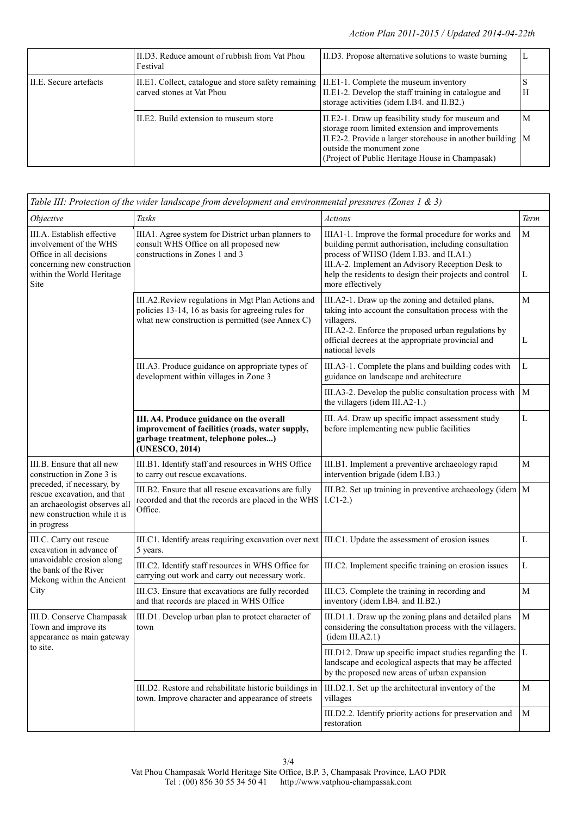|                        | III.D3. Reduce amount of rubbish from Vat Phou<br>Festival                                                               | II.D3. Propose alternative solutions to waste burning                                                                                                                                                                                                 |   |
|------------------------|--------------------------------------------------------------------------------------------------------------------------|-------------------------------------------------------------------------------------------------------------------------------------------------------------------------------------------------------------------------------------------------------|---|
| II.E. Secure artefacts | II.E1. Collect, catalogue and store safety remaining II.E1-1. Complete the museum inventory<br>carved stones at Vat Phou | II.E1-2. Develop the staff training in catalogue and<br>storage activities (idem I.B4. and II.B2.)                                                                                                                                                    | Н |
|                        | II.E2. Build extension to museum store                                                                                   | II.E2-1. Draw up feasibility study for museum and<br>storage room limited extension and improvements<br>II.E2-2. Provide a larger storehouse in another building $ M$<br>outside the monument zone<br>(Project of Public Heritage House in Champasak) | M |

| Table III: Protection of the wider landscape from development and environmental pressures (Zones 1 $\&$ 3)                                          |                                                                                                                                                             |                                                                                                                                                                                                                                                                                            |        |  |
|-----------------------------------------------------------------------------------------------------------------------------------------------------|-------------------------------------------------------------------------------------------------------------------------------------------------------------|--------------------------------------------------------------------------------------------------------------------------------------------------------------------------------------------------------------------------------------------------------------------------------------------|--------|--|
| Objective                                                                                                                                           | Tasks                                                                                                                                                       | <b>Actions</b>                                                                                                                                                                                                                                                                             | Term   |  |
| III.A. Establish effective<br>involvement of the WHS<br>Office in all decisions<br>concerning new construction<br>within the World Heritage<br>Site | IIIA1. Agree system for District urban planners to<br>consult WHS Office on all proposed new<br>constructions in Zones 1 and 3                              | IIIA1-1. Improve the formal procedure for works and<br>building permit authorisation, including consultation<br>process of WHSO (Idem I.B3. and II.A1.)<br>III.A-2. Implement an Advisory Reception Desk to<br>help the residents to design their projects and control<br>more effectively |        |  |
|                                                                                                                                                     | III.A2.Review regulations in Mgt Plan Actions and<br>policies 13-14, 16 as basis for agreeing rules for<br>what new construction is permitted (see Annex C) | III.A2-1. Draw up the zoning and detailed plans,<br>taking into account the consultation process with the<br>villagers.<br>III.A2-2. Enforce the proposed urban regulations by<br>official decrees at the appropriate provincial and<br>national levels                                    | M<br>L |  |
|                                                                                                                                                     | III.A3. Produce guidance on appropriate types of<br>development within villages in Zone 3                                                                   | III.A3-1. Complete the plans and building codes with<br>guidance on landscape and architecture                                                                                                                                                                                             | L      |  |
|                                                                                                                                                     |                                                                                                                                                             | III.A3-2. Develop the public consultation process with<br>the villagers (idem III.A2-1.)                                                                                                                                                                                                   | M      |  |
|                                                                                                                                                     | III. A4. Produce guidance on the overall<br>improvement of facilities (roads, water supply,<br>garbage treatment, telephone poles)<br>(UNESCO, 2014)        | III. A4. Draw up specific impact assessment study<br>before implementing new public facilities                                                                                                                                                                                             | L      |  |
| III.B. Ensure that all new<br>construction in Zone 3 is                                                                                             | III.B1. Identify staff and resources in WHS Office<br>to carry out rescue excavations.                                                                      | III.B1. Implement a preventive archaeology rapid<br>M<br>intervention brigade (idem I.B3.)                                                                                                                                                                                                 |        |  |
| preceded, if necessary, by<br>rescue excavation, and that<br>an archaeologist observes all<br>new construction while it is<br>in progress           | III.B2. Ensure that all rescue excavations are fully<br>recorded and that the records are placed in the WHS<br>Office.                                      | III.B2. Set up training in preventive archaeology (idem $ M$<br>$LCl-2.$                                                                                                                                                                                                                   |        |  |
| III.C. Carry out rescue<br>excavation in advance of<br>unavoidable erosion along<br>the bank of the River<br>Mekong within the Ancient<br>City      | III.C1. Identify areas requiring excavation over next<br>5 years.                                                                                           | III.C1. Update the assessment of erosion issues                                                                                                                                                                                                                                            | L      |  |
|                                                                                                                                                     | III.C2. Identify staff resources in WHS Office for<br>carrying out work and carry out necessary work.                                                       | III.C2. Implement specific training on erosion issues                                                                                                                                                                                                                                      | L      |  |
|                                                                                                                                                     | III.C3. Ensure that excavations are fully recorded<br>and that records are placed in WHS Office                                                             | III.C3. Complete the training in recording and<br>inventory (idem I.B4. and II.B2.)                                                                                                                                                                                                        | M      |  |
| III.D. Conserve Champasak<br>Town and improve its<br>appearance as main gateway<br>to site.                                                         | III.D1. Develop urban plan to protect character of<br>town                                                                                                  | III.D1.1. Draw up the zoning plans and detailed plans<br>considering the consultation process with the villagers.<br>(idem III.A2.1)                                                                                                                                                       | M      |  |
|                                                                                                                                                     |                                                                                                                                                             | III.D12. Draw up specific impact studies regarding the $ L $<br>landscape and ecological aspects that may be affected<br>by the proposed new areas of urban expansion                                                                                                                      |        |  |
|                                                                                                                                                     | III.D2. Restore and rehabilitate historic buildings in<br>town. Improve character and appearance of streets                                                 | III.D2.1. Set up the architectural inventory of the<br>villages                                                                                                                                                                                                                            |        |  |
|                                                                                                                                                     |                                                                                                                                                             | III.D2.2. Identify priority actions for preservation and<br>restoration                                                                                                                                                                                                                    | М      |  |